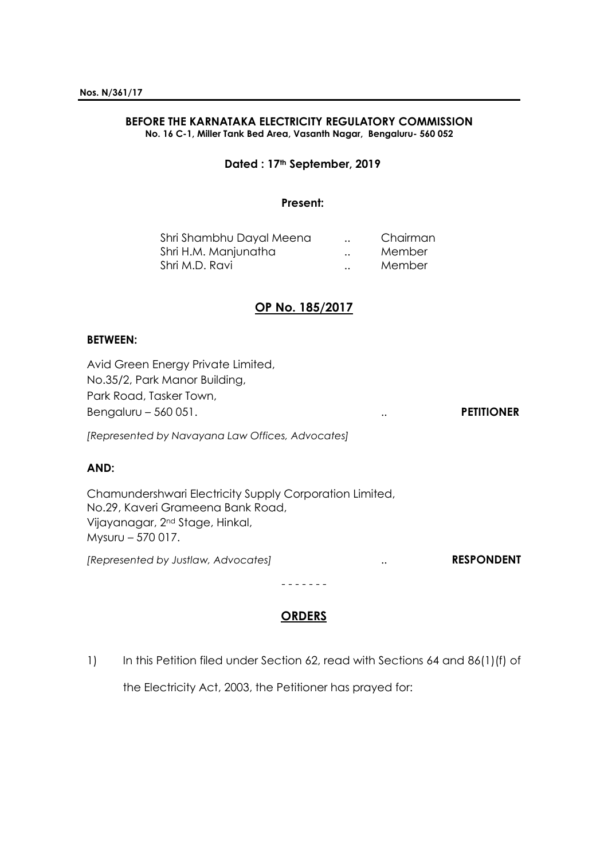#### **BEFORE THE KARNATAKA ELECTRICITY REGULATORY COMMISSION No. 16 C-1, Miller Tank Bed Area, Vasanth Nagar, Bengaluru- 560 052**

**Dated : 17th September, 2019**

# **Present:**

| Shri Shambhu Dayal Meena | $\cdot$ . | Chairman |
|--------------------------|-----------|----------|
| Shri H.M. Manjunatha     | $\cdot$ . | Member   |
| Shri M.D. Ravi           | $\cdot$ . | Member   |

# **OP No. 185/2017**

# **BETWEEN:**

Avid Green Energy Private Limited, No.35/2, Park Manor Building, Park Road, Tasker Town, Bengaluru – 560 051. **PETITIONER** *[Represented by Navayana Law Offices, Advocates]* **AND:** Chamundershwari Electricity Supply Corporation Limited, No.29, Kaveri Grameena Bank Road, Vijayanagar, 2nd Stage, Hinkal, Mysuru – 570 017. *[Represented by Justlaw, Advocates]* .. **RESPONDENT** - - - - - - -

# **ORDERS**

1) In this Petition filed under Section 62, read with Sections 64 and 86(1)(f) of

the Electricity Act, 2003, the Petitioner has prayed for: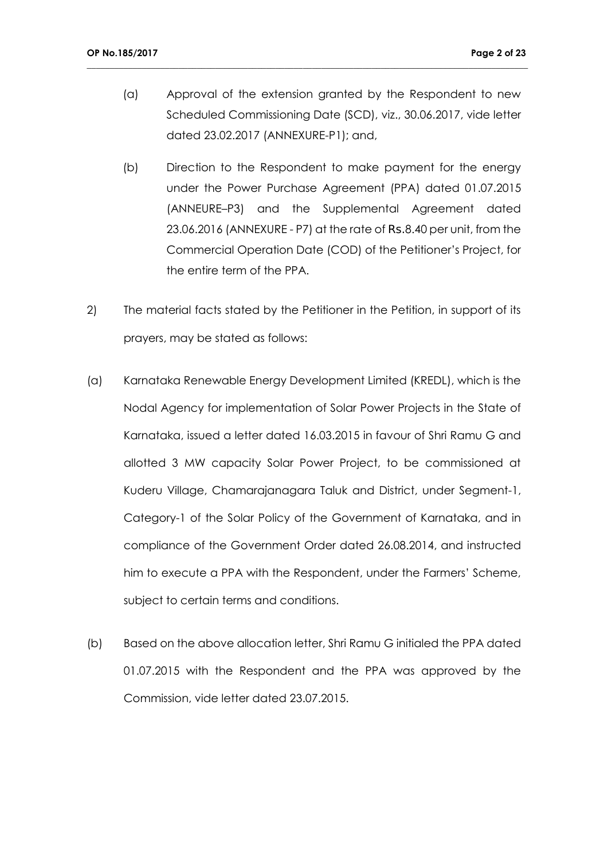(a) Approval of the extension granted by the Respondent to new Scheduled Commissioning Date (SCD), viz., 30.06.2017, vide letter dated 23.02.2017 (ANNEXURE-P1); and,

- (b) Direction to the Respondent to make payment for the energy under the Power Purchase Agreement (PPA) dated 01.07.2015 (ANNEURE–P3) and the Supplemental Agreement dated 23.06.2016 (ANNEXURE - P7) at the rate of Rs.8.40 per unit, from the Commercial Operation Date (COD) of the Petitioner's Project, for the entire term of the PPA.
- 2) The material facts stated by the Petitioner in the Petition, in support of its prayers, may be stated as follows:
- (a) Karnataka Renewable Energy Development Limited (KREDL), which is the Nodal Agency for implementation of Solar Power Projects in the State of Karnataka, issued a letter dated 16.03.2015 in favour of Shri Ramu G and allotted 3 MW capacity Solar Power Project, to be commissioned at Kuderu Village, Chamarajanagara Taluk and District, under Segment-1, Category-1 of the Solar Policy of the Government of Karnataka, and in compliance of the Government Order dated 26.08.2014, and instructed him to execute a PPA with the Respondent, under the Farmers' Scheme, subject to certain terms and conditions.
- (b) Based on the above allocation letter, Shri Ramu G initialed the PPA dated 01.07.2015 with the Respondent and the PPA was approved by the Commission, vide letter dated 23.07.2015.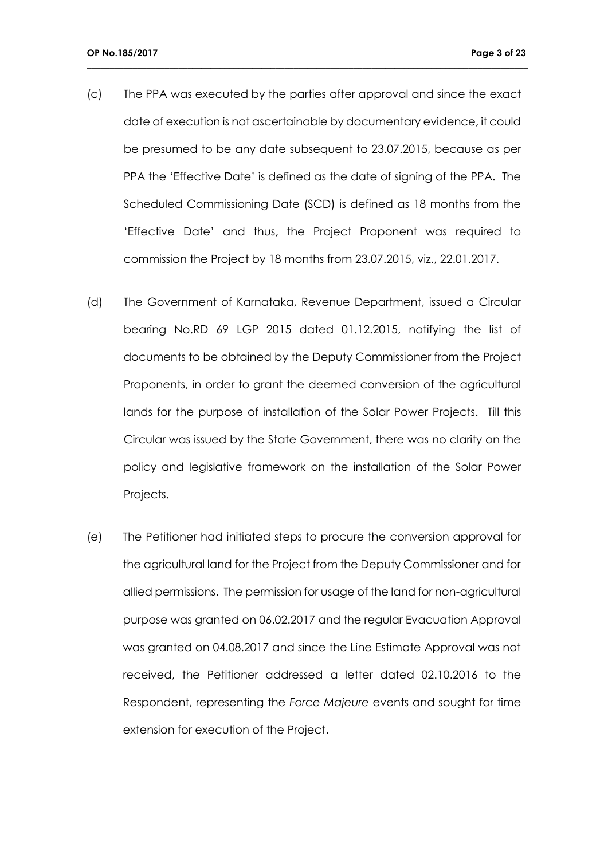(c) The PPA was executed by the parties after approval and since the exact date of execution is not ascertainable by documentary evidence, it could be presumed to be any date subsequent to 23.07.2015, because as per PPA the 'Effective Date' is defined as the date of signing of the PPA. The Scheduled Commissioning Date (SCD) is defined as 18 months from the 'Effective Date' and thus, the Project Proponent was required to commission the Project by 18 months from 23.07.2015, viz., 22.01.2017.

- (d) The Government of Karnataka, Revenue Department, issued a Circular bearing No.RD 69 LGP 2015 dated 01.12.2015, notifying the list of documents to be obtained by the Deputy Commissioner from the Project Proponents, in order to grant the deemed conversion of the agricultural lands for the purpose of installation of the Solar Power Projects. Till this Circular was issued by the State Government, there was no clarity on the policy and legislative framework on the installation of the Solar Power Projects.
- (e) The Petitioner had initiated steps to procure the conversion approval for the agricultural land for the Project from the Deputy Commissioner and for allied permissions. The permission for usage of the land for non-agricultural purpose was granted on 06.02.2017 and the regular Evacuation Approval was granted on 04.08.2017 and since the Line Estimate Approval was not received, the Petitioner addressed a letter dated 02.10.2016 to the Respondent, representing the *Force Majeure* events and sought for time extension for execution of the Project.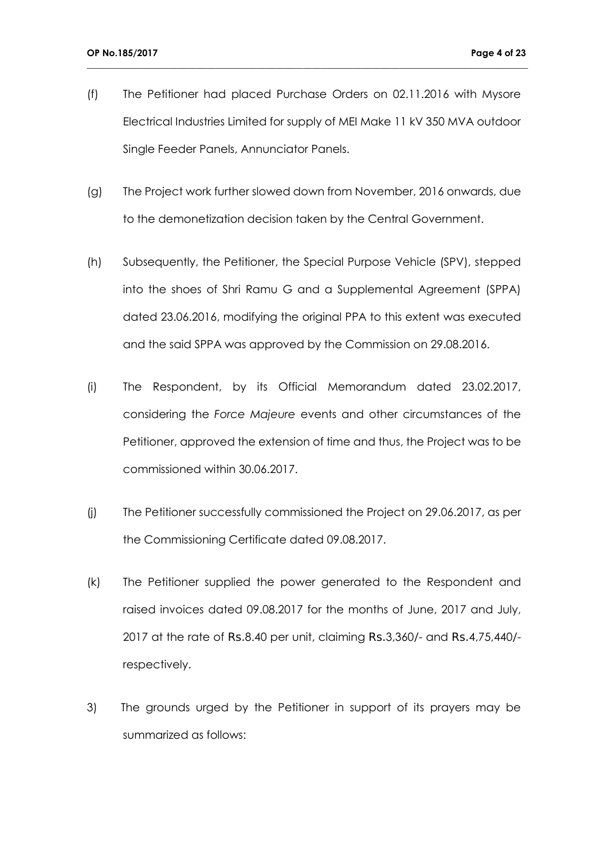(f) The Petitioner had placed Purchase Orders on 02.11.2016 with Mysore Electrical Industries Limited for supply of MEI Make 11 kV 350 MVA outdoor Single Feeder Panels, Annunciator Panels.

- (g) The Project work further slowed down from November, 2016 onwards, due to the demonetization decision taken by the Central Government.
- (h) Subsequently, the Petitioner, the Special Purpose Vehicle (SPV), stepped into the shoes of Shri Ramu G and a Supplemental Agreement (SPPA) dated 23.06.2016, modifying the original PPA to this extent was executed and the said SPPA was approved by the Commission on 29.08.2016.
- (i) The Respondent, by its Official Memorandum dated 23.02.2017, considering the *Force Majeure* events and other circumstances of the Petitioner, approved the extension of time and thus, the Project was to be commissioned within 30.06.2017.
- (j) The Petitioner successfully commissioned the Project on 29.06.2017, as per the Commissioning Certificate dated 09.08.2017.
- (k) The Petitioner supplied the power generated to the Respondent and raised invoices dated 09.08.2017 for the months of June, 2017 and July, 2017 at the rate of Rs.8.40 per unit, claiming Rs.3,360/- and Rs.4,75,440/ respectively.
- 3) The grounds urged by the Petitioner in support of its prayers may be summarized as follows: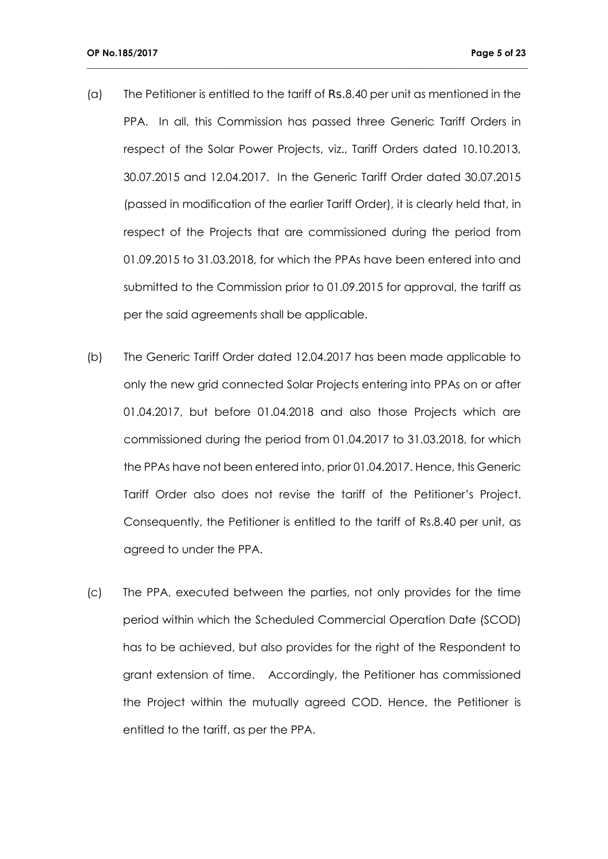(a) The Petitioner is entitled to the tariff of Rs.8.40 per unit as mentioned in the PPA. In all, this Commission has passed three Generic Tariff Orders in respect of the Solar Power Projects, viz., Tariff Orders dated 10.10.2013, 30.07.2015 and 12.04.2017. In the Generic Tariff Order dated 30.07.2015 (passed in modification of the earlier Tariff Order), it is clearly held that, in respect of the Projects that are commissioned during the period from 01.09.2015 to 31.03.2018, for which the PPAs have been entered into and submitted to the Commission prior to 01.09.2015 for approval, the tariff as per the said agreements shall be applicable.

- (b) The Generic Tariff Order dated 12.04.2017 has been made applicable to only the new grid connected Solar Projects entering into PPAs on or after 01.04.2017, but before 01.04.2018 and also those Projects which are commissioned during the period from 01.04.2017 to 31.03.2018, for which the PPAs have not been entered into, prior 01.04.2017. Hence, this Generic Tariff Order also does not revise the tariff of the Petitioner's Project. Consequently, the Petitioner is entitled to the tariff of Rs.8.40 per unit, as agreed to under the PPA.
- (c) The PPA, executed between the parties, not only provides for the time period within which the Scheduled Commercial Operation Date (SCOD) has to be achieved, but also provides for the right of the Respondent to grant extension of time. Accordingly, the Petitioner has commissioned the Project within the mutually agreed COD. Hence, the Petitioner is entitled to the tariff, as per the PPA.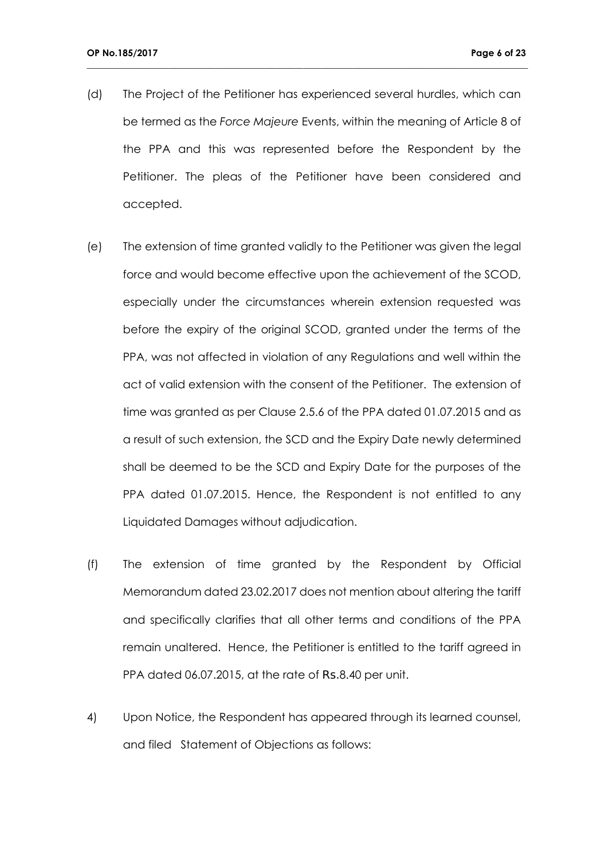(d) The Project of the Petitioner has experienced several hurdles, which can be termed as the *Force Majeure* Events, within the meaning of Article 8 of the PPA and this was represented before the Respondent by the Petitioner. The pleas of the Petitioner have been considered and accepted.

- (e) The extension of time granted validly to the Petitioner was given the legal force and would become effective upon the achievement of the SCOD, especially under the circumstances wherein extension requested was before the expiry of the original SCOD, granted under the terms of the PPA, was not affected in violation of any Regulations and well within the act of valid extension with the consent of the Petitioner. The extension of time was granted as per Clause 2.5.6 of the PPA dated 01.07.2015 and as a result of such extension, the SCD and the Expiry Date newly determined shall be deemed to be the SCD and Expiry Date for the purposes of the PPA dated 01.07.2015. Hence, the Respondent is not entitled to any Liquidated Damages without adjudication.
- (f) The extension of time granted by the Respondent by Official Memorandum dated 23.02.2017 does not mention about altering the tariff and specifically clarifies that all other terms and conditions of the PPA remain unaltered. Hence, the Petitioner is entitled to the tariff agreed in PPA dated 06.07.2015, at the rate of Rs.8.40 per unit.
- 4) Upon Notice, the Respondent has appeared through its learned counsel, and filed Statement of Objections as follows: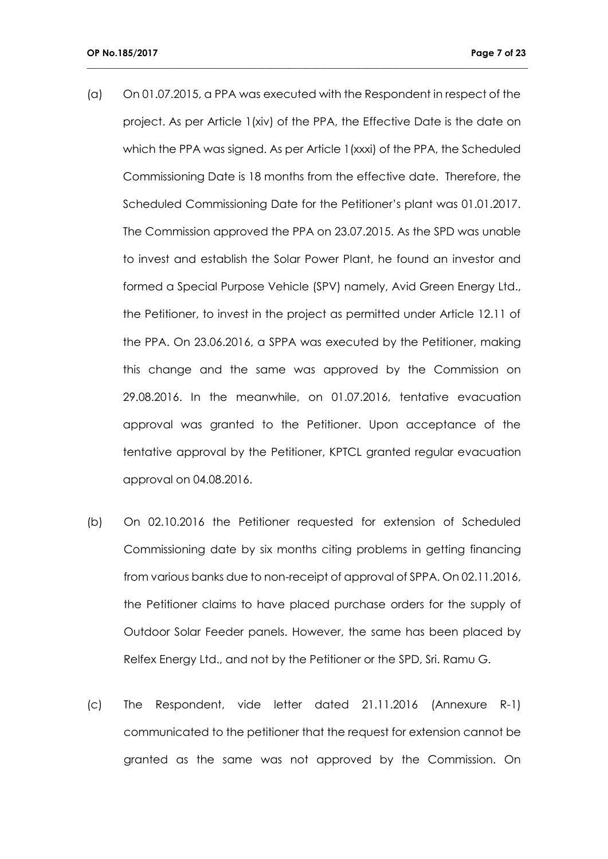(a) On 01.07.2015, a PPA was executed with the Respondent in respect of the project. As per Article 1(xiv) of the PPA, the Effective Date is the date on which the PPA was signed. As per Article 1(xxxi) of the PPA, the Scheduled Commissioning Date is 18 months from the effective date. Therefore, the Scheduled Commissioning Date for the Petitioner's plant was 01.01.2017. The Commission approved the PPA on 23.07.2015. As the SPD was unable to invest and establish the Solar Power Plant, he found an investor and formed a Special Purpose Vehicle (SPV) namely, Avid Green Energy Ltd., the Petitioner, to invest in the project as permitted under Article 12.11 of the PPA. On 23.06.2016, a SPPA was executed by the Petitioner, making this change and the same was approved by the Commission on 29.08.2016. In the meanwhile, on 01.07.2016, tentative evacuation approval was granted to the Petitioner. Upon acceptance of the tentative approval by the Petitioner, KPTCL granted regular evacuation approval on 04.08.2016.

- (b) On 02.10.2016 the Petitioner requested for extension of Scheduled Commissioning date by six months citing problems in getting financing from various banks due to non-receipt of approval of SPPA. On 02.11.2016, the Petitioner claims to have placed purchase orders for the supply of Outdoor Solar Feeder panels. However, the same has been placed by Relfex Energy Ltd., and not by the Petitioner or the SPD, Sri. Ramu G.
- (c) The Respondent, vide letter dated 21.11.2016 (Annexure R-1) communicated to the petitioner that the request for extension cannot be granted as the same was not approved by the Commission. On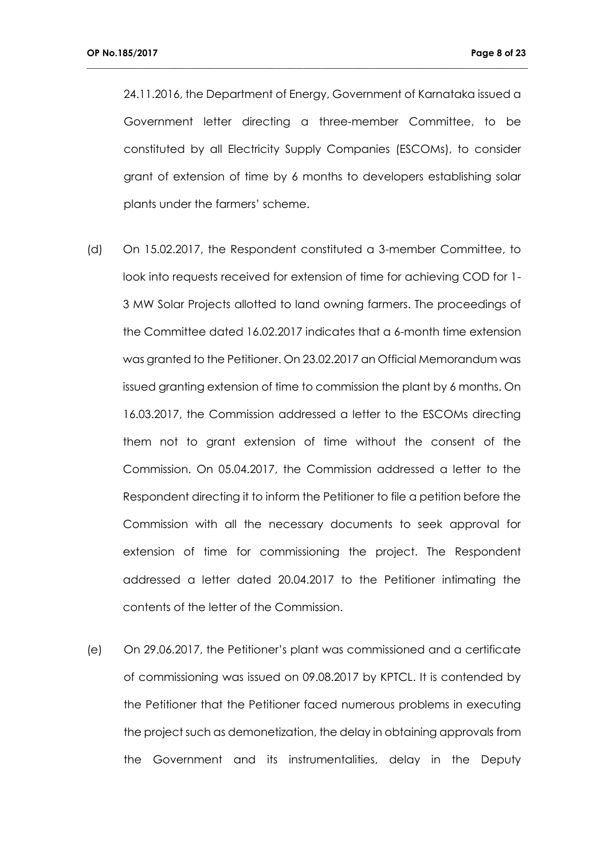24.11.2016, the Department of Energy, Government of Karnataka issued a Government letter directing a three-member Committee, to be constituted by all Electricity Supply Companies (ESCOMs), to consider grant of extension of time by 6 months to developers establishing solar plants under the farmers' scheme.

- (d) On 15.02.2017, the Respondent constituted a 3-member Committee, to look into requests received for extension of time for achieving COD for 1- 3 MW Solar Projects allotted to land owning farmers. The proceedings of the Committee dated 16.02.2017 indicates that a 6-month time extension was granted to the Petitioner. On 23.02.2017 an Official Memorandum was issued granting extension of time to commission the plant by 6 months. On 16.03.2017, the Commission addressed a letter to the ESCOMs directing them not to grant extension of time without the consent of the Commission. On 05.04.2017, the Commission addressed a letter to the Respondent directing it to inform the Petitioner to file a petition before the Commission with all the necessary documents to seek approval for extension of time for commissioning the project. The Respondent addressed a letter dated 20.04.2017 to the Petitioner intimating the contents of the letter of the Commission.
- (e) On 29.06.2017, the Petitioner's plant was commissioned and a certificate of commissioning was issued on 09.08.2017 by KPTCL. It is contended by the Petitioner that the Petitioner faced numerous problems in executing the project such as demonetization, the delay in obtaining approvals from the Government and its instrumentalities, delay in the Deputy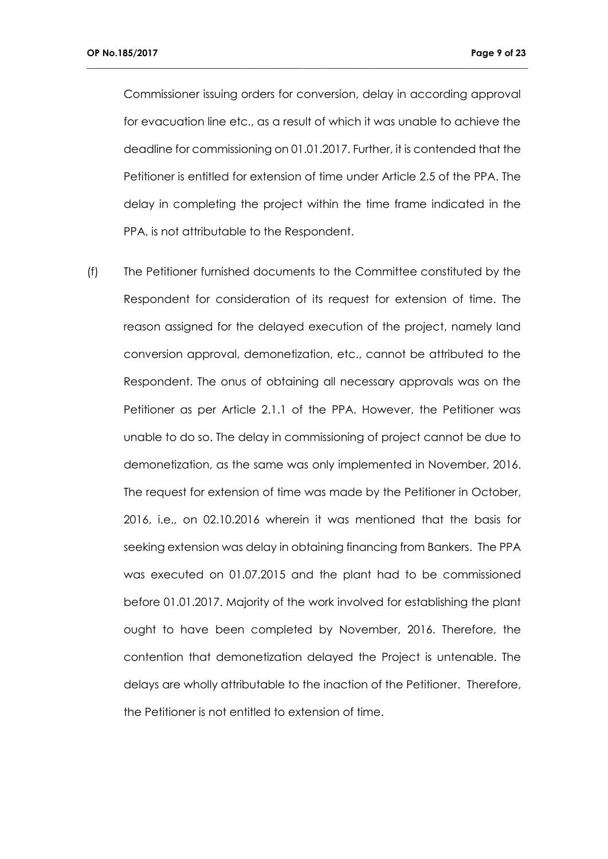Commissioner issuing orders for conversion, delay in according approval for evacuation line etc., as a result of which it was unable to achieve the deadline for commissioning on 01.01.2017. Further, it is contended that the Petitioner is entitled for extension of time under Article 2.5 of the PPA. The delay in completing the project within the time frame indicated in the PPA, is not attributable to the Respondent.

**\_\_\_\_\_\_\_\_\_\_\_\_\_\_\_\_\_\_\_\_\_\_\_\_\_\_\_\_\_\_\_\_\_\_\_\_\_\_\_\_\_\_\_\_\_\_\_\_\_\_\_\_\_\_\_\_\_\_\_\_\_\_\_\_\_\_\_\_\_\_\_\_\_\_\_\_\_\_\_\_\_\_\_\_\_\_\_\_\_\_\_\_\_\_\_\_**

(f) The Petitioner furnished documents to the Committee constituted by the Respondent for consideration of its request for extension of time. The reason assigned for the delayed execution of the project, namely land conversion approval, demonetization, etc., cannot be attributed to the Respondent. The onus of obtaining all necessary approvals was on the Petitioner as per Article 2.1.1 of the PPA. However, the Petitioner was unable to do so. The delay in commissioning of project cannot be due to demonetization, as the same was only implemented in November, 2016. The request for extension of time was made by the Petitioner in October, 2016, i.e., on 02.10.2016 wherein it was mentioned that the basis for seeking extension was delay in obtaining financing from Bankers. The PPA was executed on 01.07.2015 and the plant had to be commissioned before 01.01.2017. Majority of the work involved for establishing the plant ought to have been completed by November, 2016. Therefore, the contention that demonetization delayed the Project is untenable. The delays are wholly attributable to the inaction of the Petitioner. Therefore, the Petitioner is not entitled to extension of time.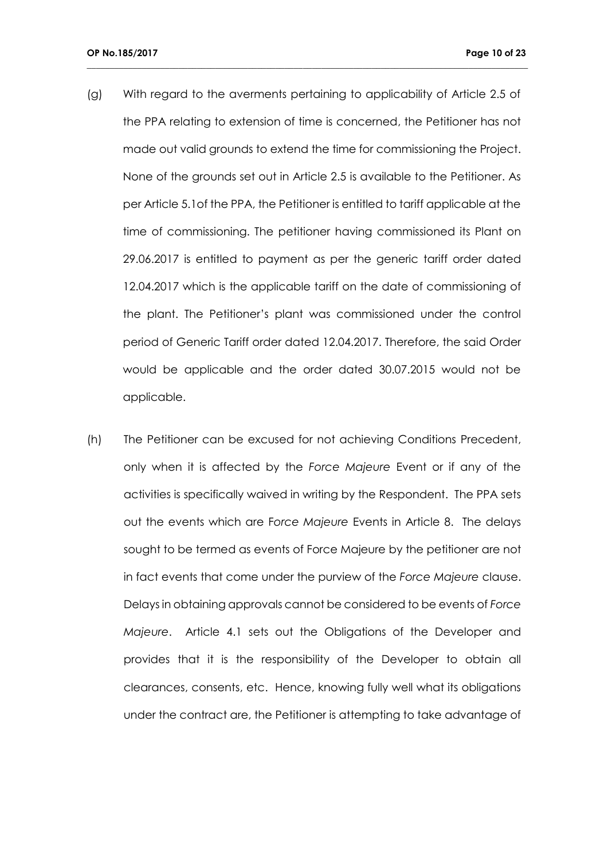(g) With regard to the averments pertaining to applicability of Article 2.5 of the PPA relating to extension of time is concerned, the Petitioner has not made out valid grounds to extend the time for commissioning the Project. None of the grounds set out in Article 2.5 is available to the Petitioner. As per Article 5.1of the PPA, the Petitioner is entitled to tariff applicable at the time of commissioning. The petitioner having commissioned its Plant on 29.06.2017 is entitled to payment as per the generic tariff order dated 12.04.2017 which is the applicable tariff on the date of commissioning of the plant. The Petitioner's plant was commissioned under the control period of Generic Tariff order dated 12.04.2017. Therefore, the said Order would be applicable and the order dated 30.07.2015 would not be applicable.

**\_\_\_\_\_\_\_\_\_\_\_\_\_\_\_\_\_\_\_\_\_\_\_\_\_\_\_\_\_\_\_\_\_\_\_\_\_\_\_\_\_\_\_\_\_\_\_\_\_\_\_\_\_\_\_\_\_\_\_\_\_\_\_\_\_\_\_\_\_\_\_\_\_\_\_\_\_\_\_\_\_\_\_\_\_\_\_\_\_\_\_\_\_\_\_\_**

(h) The Petitioner can be excused for not achieving Conditions Precedent, only when it is affected by the *Force Majeure* Event or if any of the activities is specifically waived in writing by the Respondent. The PPA sets out the events which are F*orce Majeure* Events in Article 8. The delays sought to be termed as events of Force Majeure by the petitioner are not in fact events that come under the purview of the *Force Majeure* clause. Delays in obtaining approvals cannot be considered to be events of *Force Majeure*. Article 4.1 sets out the Obligations of the Developer and provides that it is the responsibility of the Developer to obtain all clearances, consents, etc. Hence, knowing fully well what its obligations under the contract are, the Petitioner is attempting to take advantage of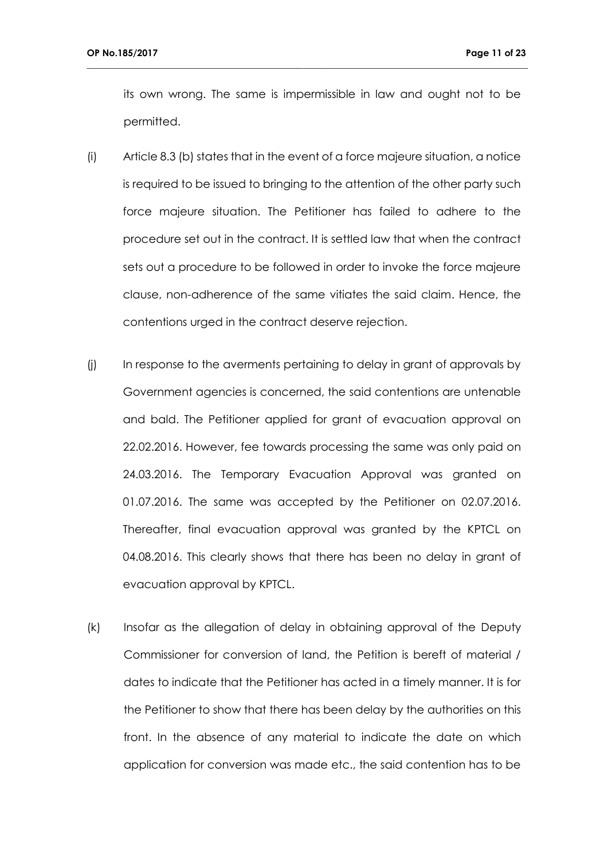its own wrong. The same is impermissible in law and ought not to be permitted.

- (i) Article 8.3 (b) states that in the event of a force majeure situation, a notice is required to be issued to bringing to the attention of the other party such force majeure situation. The Petitioner has failed to adhere to the procedure set out in the contract. It is settled law that when the contract sets out a procedure to be followed in order to invoke the force majeure clause, non-adherence of the same vitiates the said claim. Hence, the contentions urged in the contract deserve rejection.
- (j) In response to the averments pertaining to delay in grant of approvals by Government agencies is concerned, the said contentions are untenable and bald. The Petitioner applied for grant of evacuation approval on 22.02.2016. However, fee towards processing the same was only paid on 24.03.2016. The Temporary Evacuation Approval was granted on 01.07.2016. The same was accepted by the Petitioner on 02.07.2016. Thereafter, final evacuation approval was granted by the KPTCL on 04.08.2016. This clearly shows that there has been no delay in grant of evacuation approval by KPTCL.
- (k) Insofar as the allegation of delay in obtaining approval of the Deputy Commissioner for conversion of land, the Petition is bereft of material / dates to indicate that the Petitioner has acted in a timely manner. It is for the Petitioner to show that there has been delay by the authorities on this front. In the absence of any material to indicate the date on which application for conversion was made etc., the said contention has to be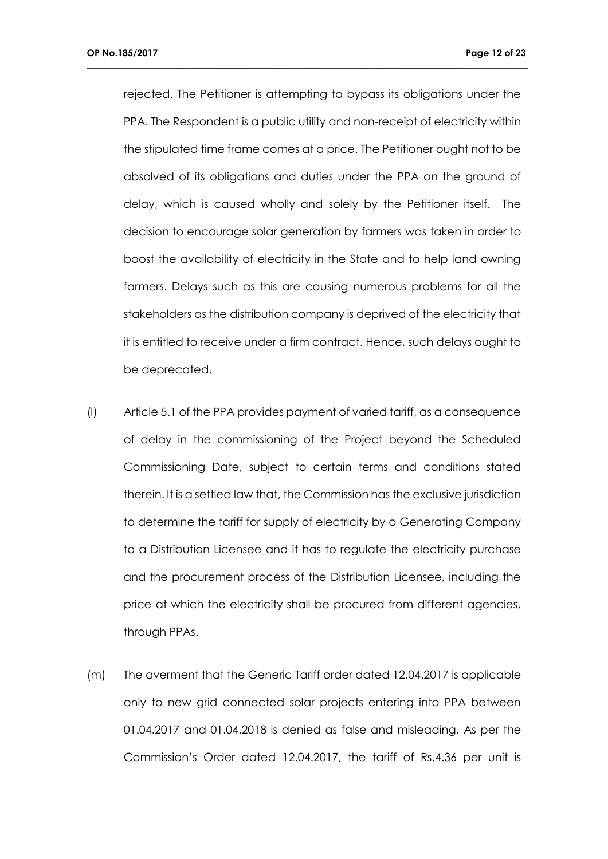rejected. The Petitioner is attempting to bypass its obligations under the PPA. The Respondent is a public utility and non-receipt of electricity within the stipulated time frame comes at a price. The Petitioner ought not to be absolved of its obligations and duties under the PPA on the ground of delay, which is caused wholly and solely by the Petitioner itself. The decision to encourage solar generation by farmers was taken in order to boost the availability of electricity in the State and to help land owning farmers. Delays such as this are causing numerous problems for all the stakeholders as the distribution company is deprived of the electricity that it is entitled to receive under a firm contract. Hence, such delays ought to be deprecated.

- (l) Article 5.1 of the PPA provides payment of varied tariff, as a consequence of delay in the commissioning of the Project beyond the Scheduled Commissioning Date, subject to certain terms and conditions stated therein. It is a settled law that, the Commission has the exclusive jurisdiction to determine the tariff for supply of electricity by a Generating Company to a Distribution Licensee and it has to regulate the electricity purchase and the procurement process of the Distribution Licensee, including the price at which the electricity shall be procured from different agencies, through PPAs.
- (m) The averment that the Generic Tariff order dated 12.04.2017 is applicable only to new grid connected solar projects entering into PPA between 01.04.2017 and 01.04.2018 is denied as false and misleading. As per the Commission's Order dated 12.04.2017, the tariff of Rs.4.36 per unit is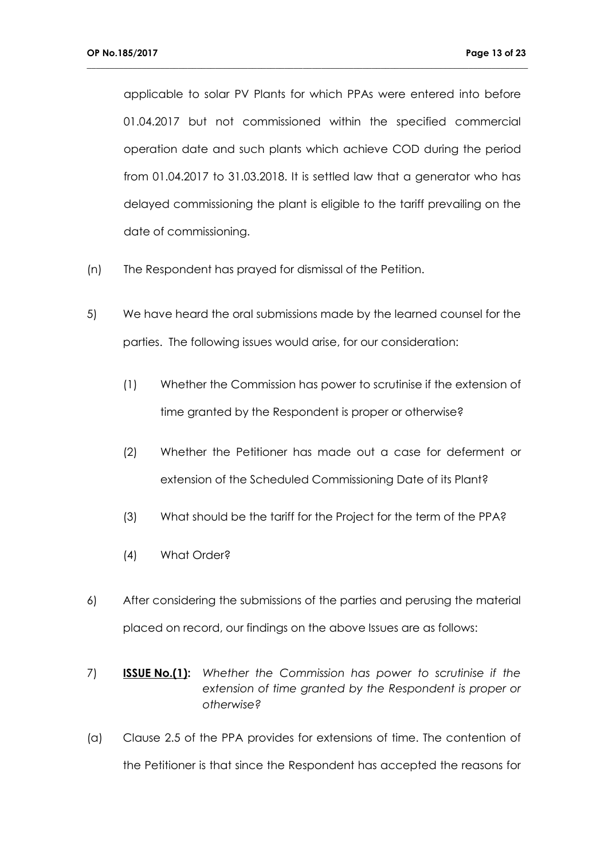applicable to solar PV Plants for which PPAs were entered into before 01.04.2017 but not commissioned within the specified commercial operation date and such plants which achieve COD during the period from 01.04.2017 to 31.03.2018. It is settled law that a generator who has delayed commissioning the plant is eligible to the tariff prevailing on the date of commissioning.

- (n) The Respondent has prayed for dismissal of the Petition.
- 5) We have heard the oral submissions made by the learned counsel for the parties. The following issues would arise, for our consideration:
	- (1) Whether the Commission has power to scrutinise if the extension of time granted by the Respondent is proper or otherwise?
	- (2) Whether the Petitioner has made out a case for deferment or extension of the Scheduled Commissioning Date of its Plant?
	- (3) What should be the tariff for the Project for the term of the PPA?
	- (4) What Order?
- 6) After considering the submissions of the parties and perusing the material placed on record, our findings on the above Issues are as follows:
- 7) **ISSUE No.(1):** *Whether the Commission has power to scrutinise if the extension of time granted by the Respondent is proper or otherwise?*
- (a) Clause 2.5 of the PPA provides for extensions of time. The contention of the Petitioner is that since the Respondent has accepted the reasons for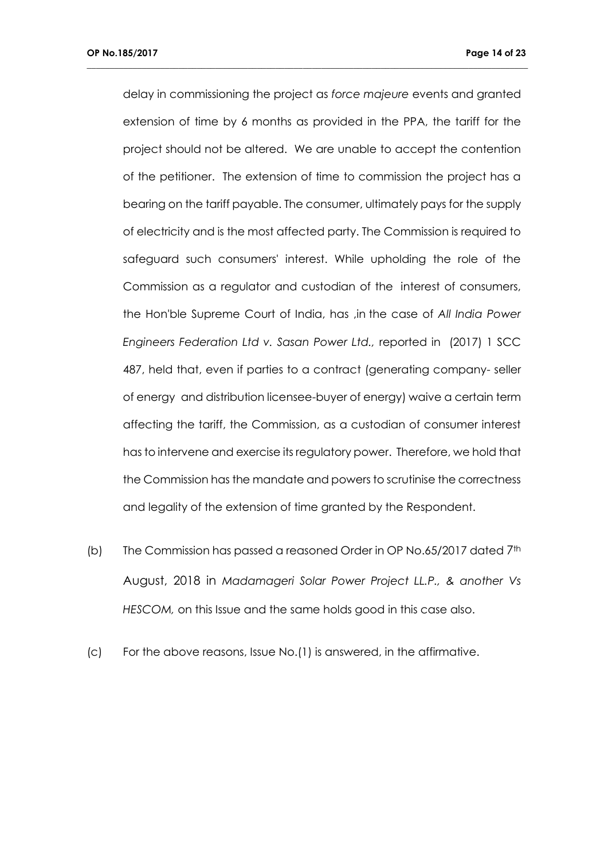delay in commissioning the project as *force majeure* events and granted extension of time by 6 months as provided in the PPA, the tariff for the project should not be altered. We are unable to accept the contention of the petitioner. The extension of time to commission the project has a bearing on the tariff payable. The consumer, ultimately pays for the supply of electricity and is the most affected party. The Commission is required to safeguard such consumers' interest. While upholding the role of the Commission as a regulator and custodian of the interest of consumers, the Hon'ble Supreme Court of India, has ,in the case of *All India Power Engineers Federation Ltd v. Sasan Power Ltd.,* reported in (2017) 1 SCC 487, held that, even if parties to a contract (generating company- seller of energy and distribution licensee-buyer of energy) waive a certain term affecting the tariff, the Commission, as a custodian of consumer interest has to intervene and exercise its regulatory power. Therefore, we hold that the Commission has the mandate and powers to scrutinise the correctness and legality of the extension of time granted by the Respondent.

- (b) The Commission has passed a reasoned Order in OP No.65/2017 dated 7<sup>th</sup> August, 2018 in *Madamageri Solar Power Project LL.P., & another Vs HESCOM,* on this Issue and the same holds good in this case also.
- (c) For the above reasons, Issue No.(1) is answered, in the affirmative.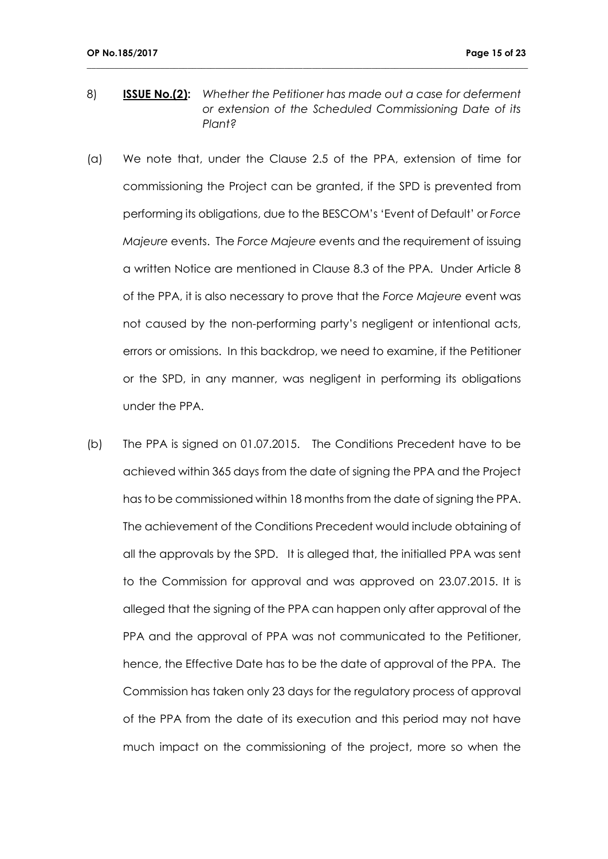8) **ISSUE No.(2):** *Whether the Petitioner has made out a case for deferment or extension of the Scheduled Commissioning Date of its Plant?*

- (a) We note that, under the Clause 2.5 of the PPA, extension of time for commissioning the Project can be granted, if the SPD is prevented from performing its obligations, due to the BESCOM's 'Event of Default' or *Force Majeure* events. The *Force Majeure* events and the requirement of issuing a written Notice are mentioned in Clause 8.3 of the PPA. Under Article 8 of the PPA, it is also necessary to prove that the *Force Majeure* event was not caused by the non-performing party's negligent or intentional acts, errors or omissions. In this backdrop, we need to examine, if the Petitioner or the SPD, in any manner, was negligent in performing its obligations under the PPA.
- (b) The PPA is signed on 01.07.2015. The Conditions Precedent have to be achieved within 365 days from the date of signing the PPA and the Project has to be commissioned within 18 months from the date of signing the PPA. The achievement of the Conditions Precedent would include obtaining of all the approvals by the SPD. It is alleged that, the initialled PPA was sent to the Commission for approval and was approved on 23.07.2015. It is alleged that the signing of the PPA can happen only after approval of the PPA and the approval of PPA was not communicated to the Petitioner, hence, the Effective Date has to be the date of approval of the PPA. The Commission has taken only 23 days for the regulatory process of approval of the PPA from the date of its execution and this period may not have much impact on the commissioning of the project, more so when the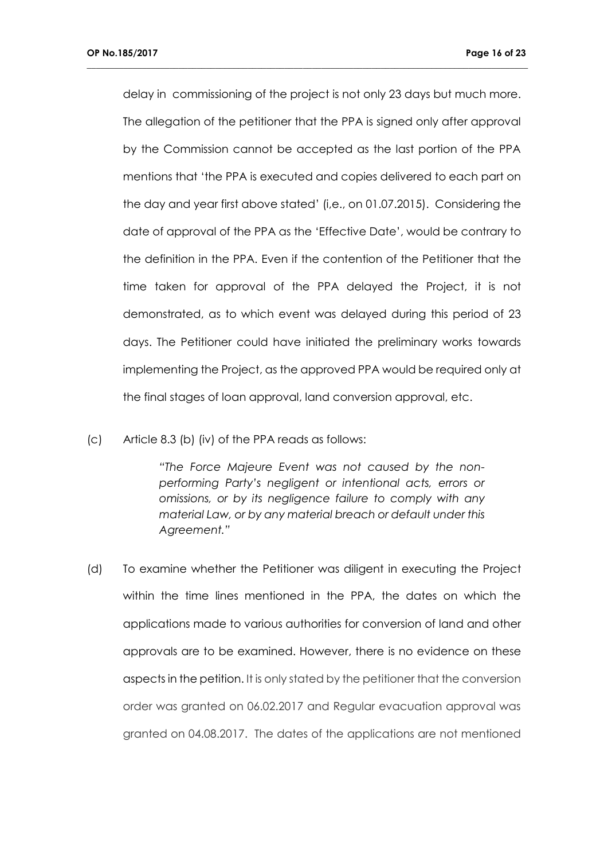delay in commissioning of the project is not only 23 days but much more. The allegation of the petitioner that the PPA is signed only after approval by the Commission cannot be accepted as the last portion of the PPA mentions that 'the PPA is executed and copies delivered to each part on the day and year first above stated' (i,e., on 01.07.2015). Considering the date of approval of the PPA as the 'Effective Date', would be contrary to the definition in the PPA. Even if the contention of the Petitioner that the time taken for approval of the PPA delayed the Project, it is not demonstrated, as to which event was delayed during this period of 23 days. The Petitioner could have initiated the preliminary works towards implementing the Project, as the approved PPA would be required only at the final stages of loan approval, land conversion approval, etc.

**\_\_\_\_\_\_\_\_\_\_\_\_\_\_\_\_\_\_\_\_\_\_\_\_\_\_\_\_\_\_\_\_\_\_\_\_\_\_\_\_\_\_\_\_\_\_\_\_\_\_\_\_\_\_\_\_\_\_\_\_\_\_\_\_\_\_\_\_\_\_\_\_\_\_\_\_\_\_\_\_\_\_\_\_\_\_\_\_\_\_\_\_\_\_\_\_**

### (c) Article 8.3 (b) (iv) of the PPA reads as follows:

*"The Force Majeure Event was not caused by the nonperforming Party's negligent or intentional acts, errors or omissions, or by its negligence failure to comply with any material Law, or by any material breach or default under this Agreement."*

(d) To examine whether the Petitioner was diligent in executing the Project within the time lines mentioned in the PPA, the dates on which the applications made to various authorities for conversion of land and other approvals are to be examined. However, there is no evidence on these aspects in the petition. It is only stated by the petitioner that the conversion order was granted on 06.02.2017 and Regular evacuation approval was granted on 04.08.2017. The dates of the applications are not mentioned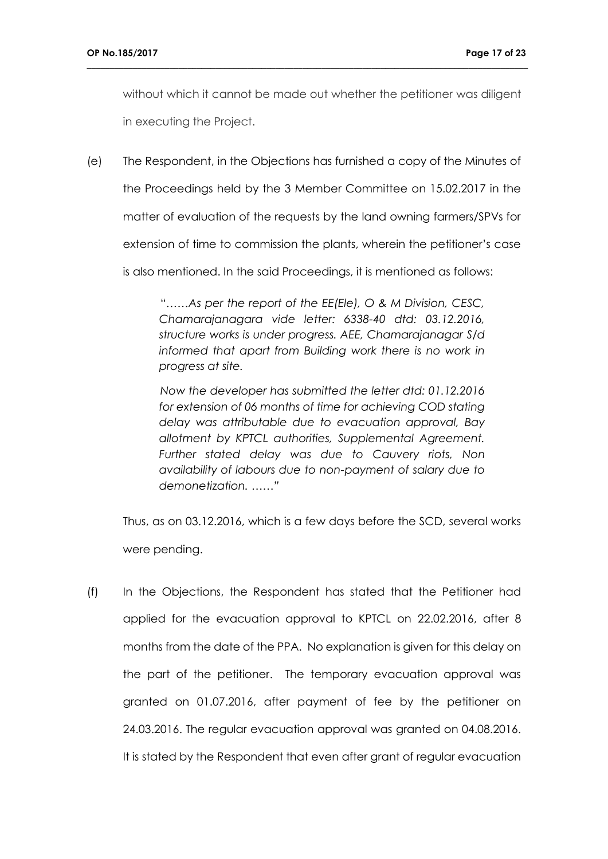without which it cannot be made out whether the petitioner was diligent in executing the Project.

**\_\_\_\_\_\_\_\_\_\_\_\_\_\_\_\_\_\_\_\_\_\_\_\_\_\_\_\_\_\_\_\_\_\_\_\_\_\_\_\_\_\_\_\_\_\_\_\_\_\_\_\_\_\_\_\_\_\_\_\_\_\_\_\_\_\_\_\_\_\_\_\_\_\_\_\_\_\_\_\_\_\_\_\_\_\_\_\_\_\_\_\_\_\_\_\_**

(e) The Respondent, in the Objections has furnished a copy of the Minutes of the Proceedings held by the 3 Member Committee on 15.02.2017 in the matter of evaluation of the requests by the land owning farmers/SPVs for extension of time to commission the plants, wherein the petitioner's case is also mentioned. In the said Proceedings, it is mentioned as follows:

> "……*As per the report of the EE(Ele), O & M Division, CESC, Chamarajanagara vide letter: 6338-40 dtd: 03.12.2016, structure works is under progress. AEE, Chamarajanagar S/d*  informed that apart from Building work there is no work in *progress at site.*

> *Now the developer has submitted the letter dtd: 01.12.2016 for extension of 06 months of time for achieving COD stating delay was attributable due to evacuation approval, Bay allotment by KPTCL authorities, Supplemental Agreement. Further stated delay was due to Cauvery riots, Non availability of labours due to non-payment of salary due to demonetization. ……"*

Thus, as on 03.12.2016, which is a few days before the SCD, several works were pending.

(f) In the Objections, the Respondent has stated that the Petitioner had applied for the evacuation approval to KPTCL on 22.02.2016, after 8 months from the date of the PPA. No explanation is given for this delay on the part of the petitioner. The temporary evacuation approval was granted on 01.07.2016, after payment of fee by the petitioner on 24.03.2016. The regular evacuation approval was granted on 04.08.2016. It is stated by the Respondent that even after grant of regular evacuation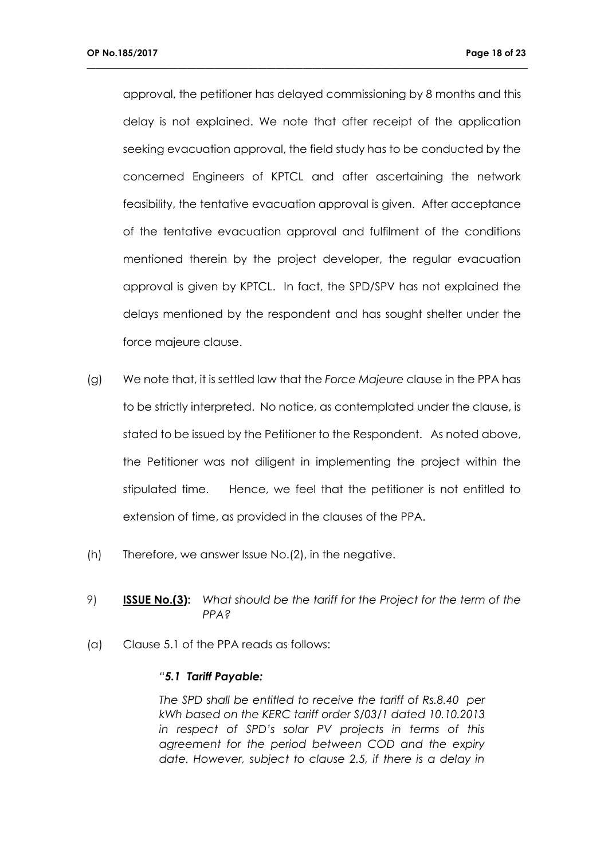approval, the petitioner has delayed commissioning by 8 months and this delay is not explained. We note that after receipt of the application seeking evacuation approval, the field study has to be conducted by the concerned Engineers of KPTCL and after ascertaining the network feasibility, the tentative evacuation approval is given. After acceptance of the tentative evacuation approval and fulfilment of the conditions mentioned therein by the project developer, the regular evacuation approval is given by KPTCL. In fact, the SPD/SPV has not explained the delays mentioned by the respondent and has sought shelter under the force majeure clause.

**\_\_\_\_\_\_\_\_\_\_\_\_\_\_\_\_\_\_\_\_\_\_\_\_\_\_\_\_\_\_\_\_\_\_\_\_\_\_\_\_\_\_\_\_\_\_\_\_\_\_\_\_\_\_\_\_\_\_\_\_\_\_\_\_\_\_\_\_\_\_\_\_\_\_\_\_\_\_\_\_\_\_\_\_\_\_\_\_\_\_\_\_\_\_\_\_**

- (g) We note that, it is settled law that the *Force Majeure* clause in the PPA has to be strictly interpreted. No notice, as contemplated under the clause, is stated to be issued by the Petitioner to the Respondent. As noted above, the Petitioner was not diligent in implementing the project within the stipulated time. Hence, we feel that the petitioner is not entitled to extension of time, as provided in the clauses of the PPA.
- (h) Therefore, we answer Issue No.(2), in the negative.
- 9) **ISSUE No.(3):** *What should be the tariff for the Project for the term of the PPA?*
- (a) Clause 5.1 of the PPA reads as follows:

### *"5.1 Tariff Payable:*

*The SPD shall be entitled to receive the tariff of Rs.8.40 per kWh based on the KERC tariff order S/03/1 dated 10.10.2013 in respect of SPD's solar PV projects in terms of this agreement for the period between COD and the expiry date. However, subject to clause 2.5, if there is a delay in*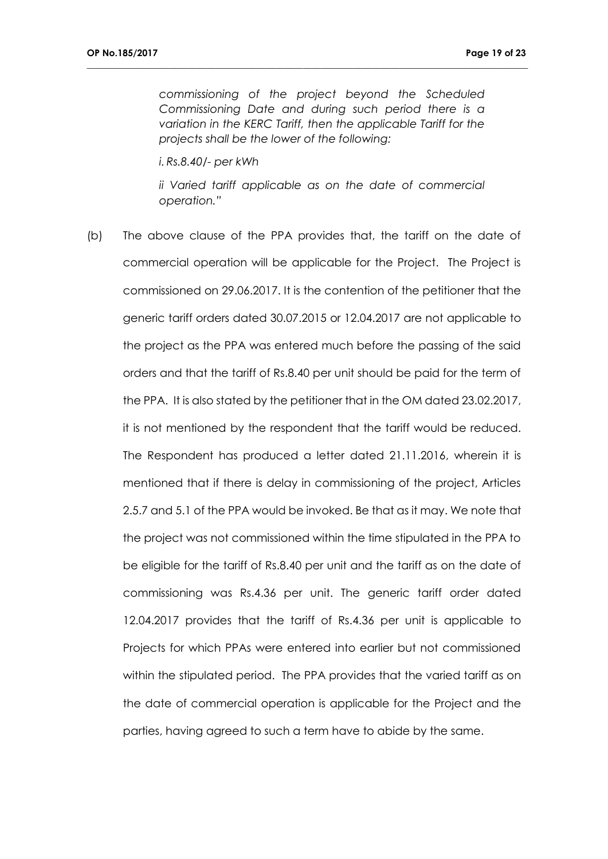*commissioning of the project beyond the Scheduled Commissioning Date and during such period there is a variation in the KERC Tariff, then the applicable Tariff for the projects shall be the lower of the following:*

**\_\_\_\_\_\_\_\_\_\_\_\_\_\_\_\_\_\_\_\_\_\_\_\_\_\_\_\_\_\_\_\_\_\_\_\_\_\_\_\_\_\_\_\_\_\_\_\_\_\_\_\_\_\_\_\_\_\_\_\_\_\_\_\_\_\_\_\_\_\_\_\_\_\_\_\_\_\_\_\_\_\_\_\_\_\_\_\_\_\_\_\_\_\_\_\_**

*i. Rs.8.40/- per kWh*

*ii Varied tariff applicable as on the date of commercial operation."*

(b) The above clause of the PPA provides that, the tariff on the date of commercial operation will be applicable for the Project. The Project is commissioned on 29.06.2017. It is the contention of the petitioner that the generic tariff orders dated 30.07.2015 or 12.04.2017 are not applicable to the project as the PPA was entered much before the passing of the said orders and that the tariff of Rs.8.40 per unit should be paid for the term of the PPA. It is also stated by the petitioner that in the OM dated 23.02.2017, it is not mentioned by the respondent that the tariff would be reduced. The Respondent has produced a letter dated 21.11.2016, wherein it is mentioned that if there is delay in commissioning of the project, Articles 2.5.7 and 5.1 of the PPA would be invoked. Be that as it may. We note that the project was not commissioned within the time stipulated in the PPA to be eligible for the tariff of Rs.8.40 per unit and the tariff as on the date of commissioning was Rs.4.36 per unit. The generic tariff order dated 12.04.2017 provides that the tariff of Rs.4.36 per unit is applicable to Projects for which PPAs were entered into earlier but not commissioned within the stipulated period. The PPA provides that the varied tariff as on the date of commercial operation is applicable for the Project and the parties, having agreed to such a term have to abide by the same.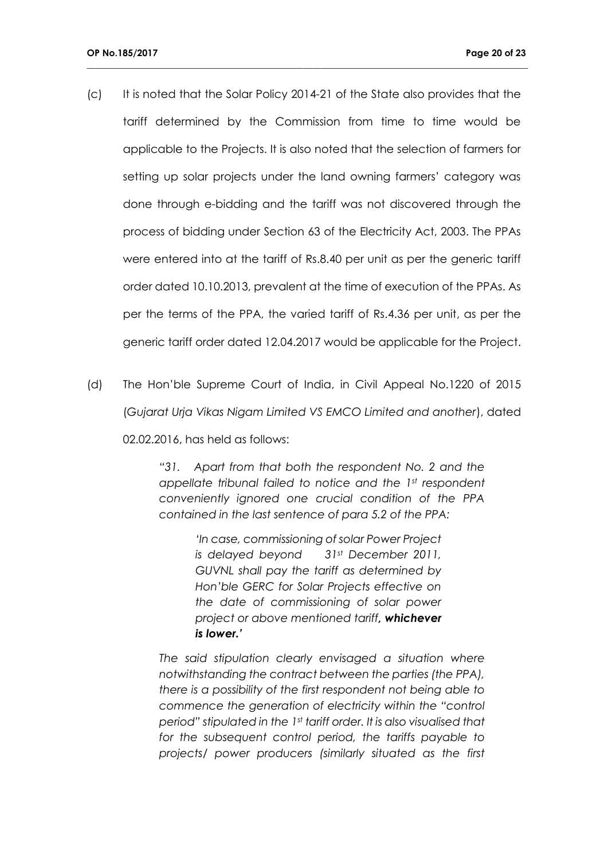(c) It is noted that the Solar Policy 2014-21 of the State also provides that the tariff determined by the Commission from time to time would be applicable to the Projects. It is also noted that the selection of farmers for setting up solar projects under the land owning farmers' category was done through e-bidding and the tariff was not discovered through the process of bidding under Section 63 of the Electricity Act, 2003. The PPAs were entered into at the tariff of Rs.8.40 per unit as per the generic tariff order dated 10.10.2013, prevalent at the time of execution of the PPAs. As per the terms of the PPA, the varied tariff of Rs.4.36 per unit, as per the generic tariff order dated 12.04.2017 would be applicable for the Project.

**\_\_\_\_\_\_\_\_\_\_\_\_\_\_\_\_\_\_\_\_\_\_\_\_\_\_\_\_\_\_\_\_\_\_\_\_\_\_\_\_\_\_\_\_\_\_\_\_\_\_\_\_\_\_\_\_\_\_\_\_\_\_\_\_\_\_\_\_\_\_\_\_\_\_\_\_\_\_\_\_\_\_\_\_\_\_\_\_\_\_\_\_\_\_\_\_**

(d) The Hon'ble Supreme Court of India, in Civil Appeal No.1220 of 2015 (*Gujarat Urja Vikas Nigam Limited VS EMCO Limited and another*), dated 02.02.2016, has held as follows:

> *"31. Apart from that both the respondent No. 2 and the appellate tribunal failed to notice and the 1st respondent conveniently ignored one crucial condition of the PPA contained in the last sentence of para 5.2 of the PPA:*

> > *'In case, commissioning of solar Power Project is delayed beyond 31st December 2011, GUVNL shall pay the tariff as determined by Hon'ble GERC for Solar Projects effective on the date of commissioning of solar power project or above mentioned tariff, whichever is lower.'*

*The said stipulation clearly envisaged a situation where notwithstanding the contract between the parties (the PPA), there is a possibility of the first respondent not being able to commence the generation of electricity within the "control period" stipulated in the 1st tariff order. It is also visualised that for the subsequent control period, the tariffs payable to projects/ power producers (similarly situated as the first*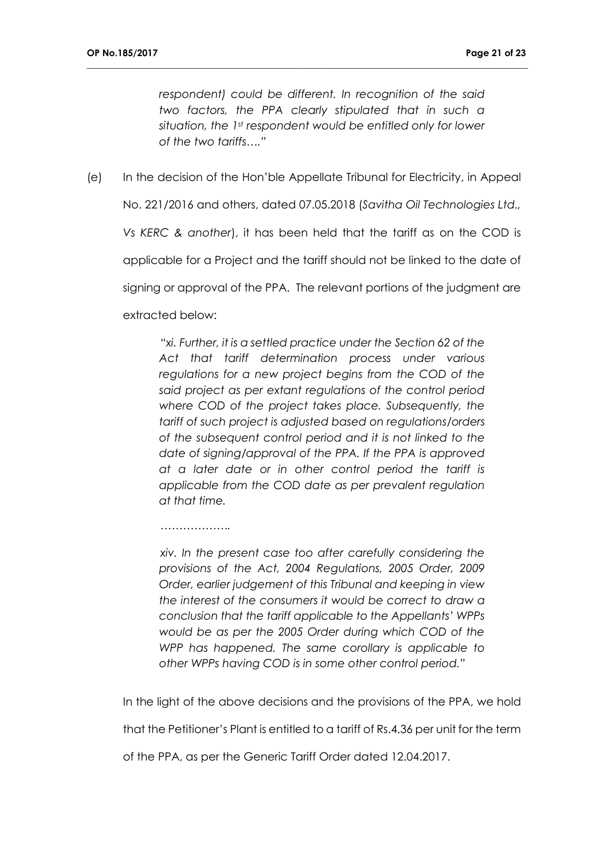*respondent) could be different. In recognition of the said two factors, the PPA clearly stipulated that in such a situation, the 1st respondent would be entitled only for lower of the two tariffs…."*

**\_\_\_\_\_\_\_\_\_\_\_\_\_\_\_\_\_\_\_\_\_\_\_\_\_\_\_\_\_\_\_\_\_\_\_\_\_\_\_\_\_\_\_\_\_\_\_\_\_\_\_\_\_\_\_\_\_\_\_\_\_\_\_\_\_\_\_\_\_\_\_\_\_\_\_\_\_\_\_\_\_\_\_\_\_\_\_\_\_\_\_\_\_\_\_\_**

(e) In the decision of the Hon'ble Appellate Tribunal for Electricity, in Appeal No. 221/2016 and others, dated 07.05.2018 (*Savitha Oil Technologies Ltd., Vs KERC & another*), it has been held that the tariff as on the COD is applicable for a Project and the tariff should not be linked to the date of signing or approval of the PPA. The relevant portions of the judgment are extracted below:

> *"xi. Further, it is a settled practice under the Section 62 of the Act that tariff determination process under various regulations for a new project begins from the COD of the said project as per extant regulations of the control period where COD of the project takes place. Subsequently, the tariff of such project is adjusted based on regulations/orders of the subsequent control period and it is not linked to the date of signing/approval of the PPA. If the PPA is approved at a later date or in other control period the tariff is applicable from the COD date as per prevalent regulation at that time.*

> *xiv. In the present case too after carefully considering the provisions of the Act, 2004 Regulations, 2005 Order, 2009 Order, earlier judgement of this Tribunal and keeping in view the interest of the consumers it would be correct to draw a conclusion that the tariff applicable to the Appellants' WPPs would be as per the 2005 Order during which COD of the WPP has happened. The same corollary is applicable to other WPPs having COD is in some other control period."*

In the light of the above decisions and the provisions of the PPA, we hold

that the Petitioner's Plant is entitled to a tariff of Rs.4.36 per unit for the term

of the PPA, as per the Generic Tariff Order dated 12.04.2017.

*……………….*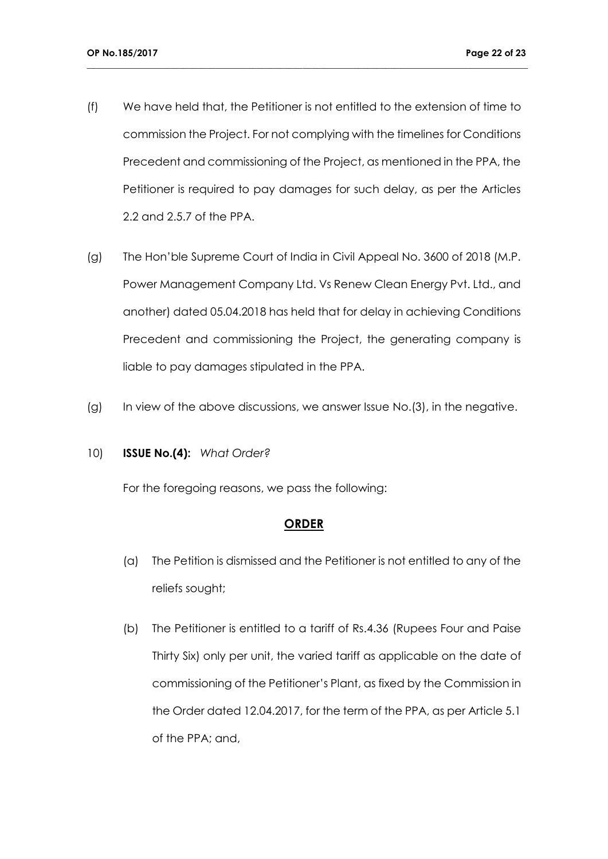(f) We have held that, the Petitioner is not entitled to the extension of time to commission the Project. For not complying with the timelines for Conditions Precedent and commissioning of the Project, as mentioned in the PPA, the Petitioner is required to pay damages for such delay, as per the Articles 2.2 and 2.5.7 of the PPA.

**\_\_\_\_\_\_\_\_\_\_\_\_\_\_\_\_\_\_\_\_\_\_\_\_\_\_\_\_\_\_\_\_\_\_\_\_\_\_\_\_\_\_\_\_\_\_\_\_\_\_\_\_\_\_\_\_\_\_\_\_\_\_\_\_\_\_\_\_\_\_\_\_\_\_\_\_\_\_\_\_\_\_\_\_\_\_\_\_\_\_\_\_\_\_\_\_**

- (g) The Hon'ble Supreme Court of India in Civil Appeal No. 3600 of 2018 (M.P. Power Management Company Ltd. Vs Renew Clean Energy Pvt. Ltd., and another) dated 05.04.2018 has held that for delay in achieving Conditions Precedent and commissioning the Project, the generating company is liable to pay damages stipulated in the PPA.
- (g) In view of the above discussions, we answer Issue No.(3), in the negative.

## 10) **ISSUE No.(4):** *What Order?*

For the foregoing reasons, we pass the following:

## **ORDER**

- (a) The Petition is dismissed and the Petitioner is not entitled to any of the reliefs sought;
- (b) The Petitioner is entitled to a tariff of Rs.4.36 (Rupees Four and Paise Thirty Six) only per unit, the varied tariff as applicable on the date of commissioning of the Petitioner's Plant, as fixed by the Commission in the Order dated 12.04.2017, for the term of the PPA, as per Article 5.1 of the PPA; and,